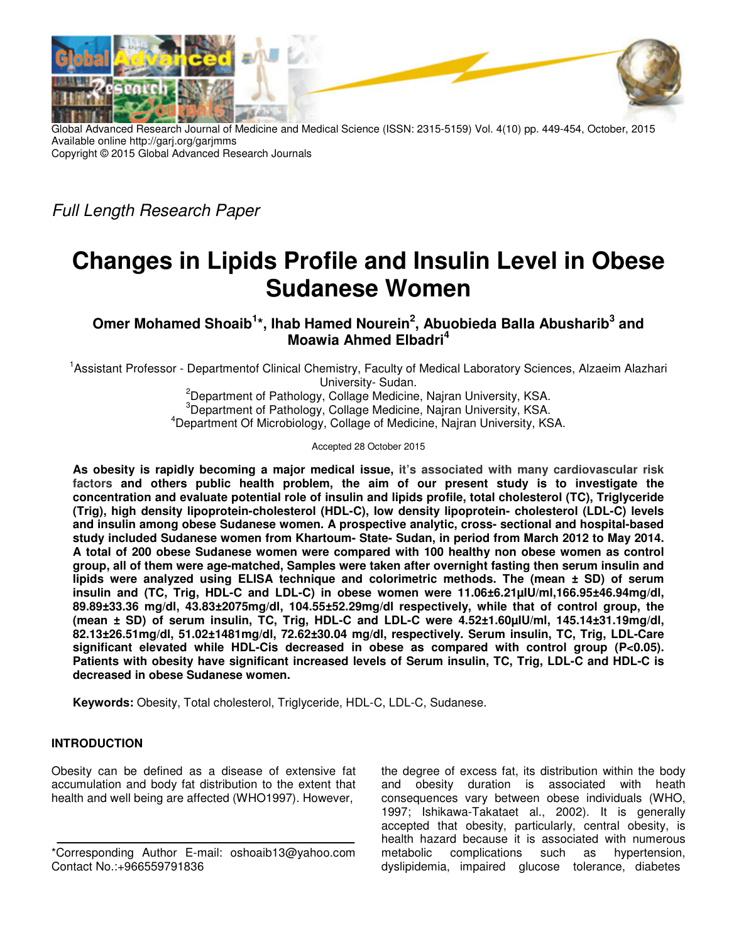

Global Advanced Research Journal of Medicine and Medical Science (ISSN: 2315-5159) Vol. 4(10) pp. 449-454, October, 2015 Available online http://garj.org/garjmms Copyright © 2015 Global Advanced Research Journals

Full Length Research Paper

# **Changes in Lipids Profile and Insulin Level in Obese Sudanese Women**

**Omer Mohamed Shoaib<sup>1</sup> \*, Ihab Hamed Nourein<sup>2</sup> , Abuobieda Balla Abusharib<sup>3</sup> and Moawia Ahmed Elbadri<sup>4</sup>**

<sup>1</sup>Assistant Professor - Departmentof Clinical Chemistry, Faculty of Medical Laboratory Sciences, Alzaeim Alazhari University- Sudan.

<sup>2</sup>Department of Pathology, Collage Medicine, Najran University, KSA.  ${}^{3}$ Department of Pathology, Collage Medicine, Najran University, KSA. <sup>4</sup>Department Of Microbiology, Collage of Medicine, Najran University, KSA.

Accepted 28 October 2015

**As obesity is rapidly becoming a major medical issue, it's associated with many cardiovascular risk factors and others public health problem, the aim of our present study is to investigate the concentration and evaluate potential role of insulin and lipids profile, total cholesterol (TC), Triglyceride (Trig), high density lipoprotein-cholesterol (HDL-C), low density lipoprotein- cholesterol (LDL-C) levels and insulin among obese Sudanese women. A prospective analytic, cross- sectional and hospital-based study included Sudanese women from Khartoum- State- Sudan, in period from March 2012 to May 2014. A total of 200 obese Sudanese women were compared with 100 healthy non obese women as control group, all of them were age-matched, Samples were taken after overnight fasting then serum insulin and lipids were analyzed using ELISA technique and colorimetric methods. The (mean ± SD) of serum insulin and (TC, Trig, HDL-C and LDL-C) in obese women were 11.06±6.21µIU/ml,166.95±46.94mg/dl, 89.89±33.36 mg/dl, 43.83±2075mg/dl, 104.55±52.29mg/dl respectively, while that of control group, the (mean ± SD) of serum insulin, TC, Trig, HDL-C and LDL-C were 4.52±1.60µIU/ml, 145.14±31.19mg/dl, 82.13±26.51mg/dl, 51.02±1481mg/dl, 72.62±30.04 mg/dl, respectively. Serum insulin, TC, Trig, LDL-Care significant elevated while HDL-Cis decreased in obese as compared with control group (P<0.05). Patients with obesity have significant increased levels of Serum insulin, TC, Trig, LDL-C and HDL-C is decreased in obese Sudanese women.** 

**Keywords:** Obesity, Total cholesterol, Triglyceride, HDL-C, LDL-C, Sudanese.

# **INTRODUCTION**

Obesity can be defined as a disease of extensive fat accumulation and body fat distribution to the extent that health and well being are affected (WHO1997). However,

the degree of excess fat, its distribution within the body and obesity duration is associated with heath consequences vary between obese individuals (WHO, 1997; Ishikawa-Takataet al., 2002). It is generally accepted that obesity, particularly, central obesity, is health hazard because it is associated with numerous metabolic complications such as hypertension, dyslipidemia, impaired glucose tolerance, diabetes

<sup>\*</sup>Corresponding Author E-mail: oshoaib13@yahoo.com Contact No.:+966559791836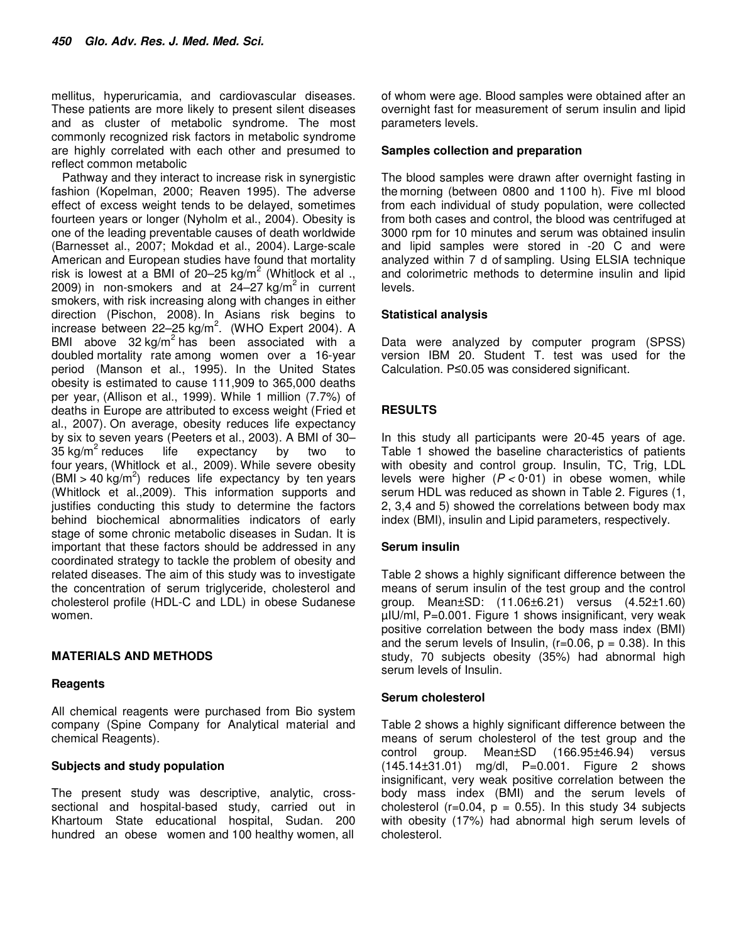mellitus, hyperuricamia, and cardiovascular diseases. These patients are more likely to present silent diseases and as cluster of metabolic syndrome. The most commonly recognized risk factors in metabolic syndrome are highly correlated with each other and presumed to reflect common metabolic

Pathway and they interact to increase risk in synergistic fashion (Kopelman, 2000; Reaven 1995). The adverse effect of excess weight tends to be delayed, sometimes fourteen years or longer (Nyholm et al., 2004). Obesity is one of the leading preventable causes of death worldwide (Barnesset al., 2007; Mokdad et al., 2004). Large-scale American and European studies have found that mortality risk is lowest at a BMI of 20–25 kg/m<sup>2</sup> (Whitlock et al., 2009) in non-smokers and at  $24-27$  kg/m<sup>2</sup> in current smokers, with risk increasing along with changes in either direction (Pischon, 2008). In Asians risk begins to increase between 22-25 kg/m<sup>2</sup>. (WHO Expert 2004). A BMI above  $32 \text{ kg/m}^2$  has been associated with a doubled mortality rate among women over a 16-year period (Manson et al., 1995). In the United States obesity is estimated to cause 111,909 to 365,000 deaths per year, (Allison et al., 1999). While 1 million (7.7%) of deaths in Europe are attributed to excess weight (Fried et al., 2007). On average, obesity reduces life expectancy by six to seven years (Peeters et al., 2003). A BMI of 30–  $35 \text{ kg/m}^2$  reduces  $l$ ife expectancy by two to four years, (Whitlock et al., 2009). While severe obesity  $(BMI > 40 \text{ kg/m}^2)$  reduces life expectancy by ten years (Whitlock et al.,2009). This information supports and justifies conducting this study to determine the factors behind biochemical abnormalities indicators of early stage of some chronic metabolic diseases in Sudan. It is important that these factors should be addressed in any coordinated strategy to tackle the problem of obesity and related diseases. The aim of this study was to investigate the concentration of serum triglyceride, cholesterol and cholesterol profile (HDL-C and LDL) in obese Sudanese women.

# **MATERIALS AND METHODS**

## **Reagents**

All chemical reagents were purchased from Bio system company (Spine Company for Analytical material and chemical Reagents).

# **Subjects and study population**

The present study was descriptive, analytic, crosssectional and hospital-based study, carried out in Khartoum State educational hospital, Sudan. 200 hundred an obese women and 100 healthy women, all

of whom were age. Blood samples were obtained after an overnight fast for measurement of serum insulin and lipid parameters levels.

## **Samples collection and preparation**

The blood samples were drawn after overnight fasting in the morning (between 0800 and 1100 h). Five ml blood from each individual of study population, were collected from both cases and control, the blood was centrifuged at 3000 rpm for 10 minutes and serum was obtained insulin and lipid samples were stored in -20 C and were analyzed within 7 d of sampling. Using ELSIA technique and colorimetric methods to determine insulin and lipid levels.

## **Statistical analysis**

Data were analyzed by computer program (SPSS) version IBM 20. Student T. test was used for the Calculation. P≤0.05 was considered significant.

# **RESULTS**

In this study all participants were 20-45 years of age. Table 1 showed the baseline characteristics of patients with obesity and control group. Insulin, TC, Trig, LDL levels were higher  $(P < 0.01)$  in obese women, while serum HDL was reduced as shown in Table 2. Figures (1, 2, 3,4 and 5) showed the correlations between body max index (BMI), insulin and Lipid parameters, respectively.

# **Serum insulin**

Table 2 shows a highly significant difference between the means of serum insulin of the test group and the control group. Mean±SD: (11.06±6.21) versus (4.52±1.60) µIU/ml, P=0.001. Figure 1 shows insignificant, very weak positive correlation between the body mass index (BMI) and the serum levels of Insulin,  $(r=0.06, p = 0.38)$ . In this study, 70 subjects obesity (35%) had abnormal high serum levels of Insulin.

## **Serum cholesterol**

Table 2 shows a highly significant difference between the means of serum cholesterol of the test group and the control group. Mean±SD (166.95±46.94) versus (145.14±31.01) mg/dl, P=0.001. Figure 2 shows insignificant, very weak positive correlation between the body mass index (BMI) and the serum levels of cholesterol ( $r=0.04$ ,  $p = 0.55$ ). In this study 34 subjects with obesity (17%) had abnormal high serum levels of cholesterol.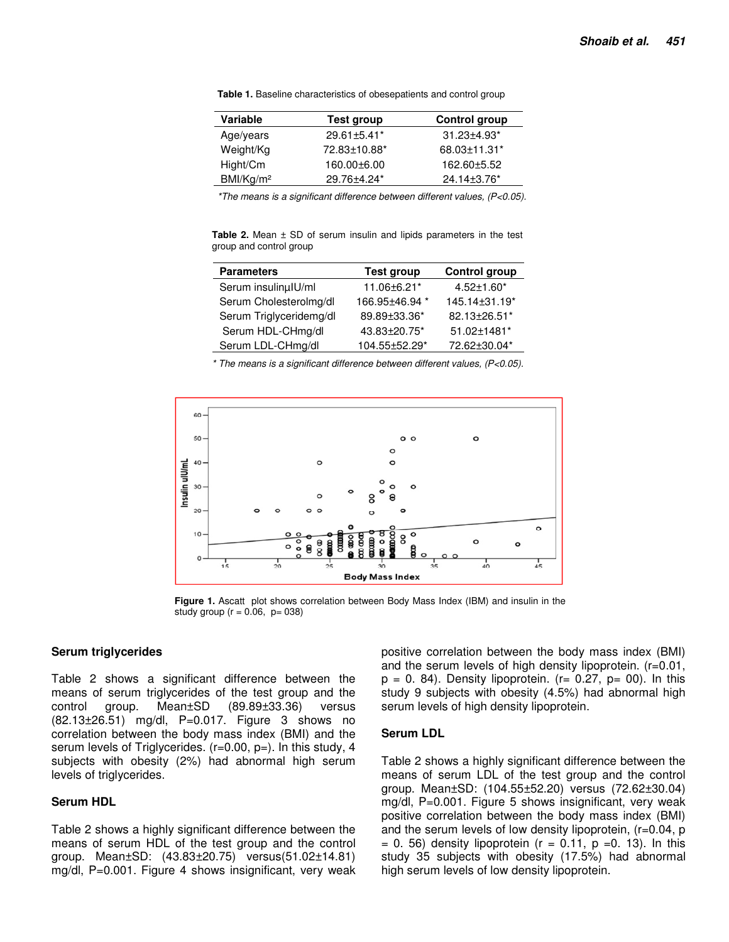| Variable             | Test group         | Control group                 |
|----------------------|--------------------|-------------------------------|
| Age/years            | $29.61 \pm 5.41^*$ | $31.23 \pm 4.93$ <sup>*</sup> |
| Weight/Kg            | 72.83±10.88*       | 68.03±11.31*                  |
| Hight/Cm             | 160.00±6.00        | 162.60±5.52                   |
| BM/Kg/m <sup>2</sup> | 29.76±4.24*        | 24.14±3.76*                   |

**Table 1.** Baseline characteristics of obesepatients and control group

\*The means is a significant difference between different values, (P<0.05).

Table 2. Mean  $\pm$  SD of serum insulin and lipids parameters in the test group and control group

| <b>Parameters</b>       | <b>Test group</b> | <b>Control group</b> |
|-------------------------|-------------------|----------------------|
| Serum insulinµlU/ml     | 11.06±6.21*       | $4.52 \pm 1.60^*$    |
| Serum Cholesterolmg/dl  | 166.95±46.94 *    | 145.14±31.19*        |
| Serum Triglyceridemg/dl | 89.89±33.36*      | 82.13±26.51*         |
| Serum HDL-CHmg/dl       | 43.83±20.75*      | 51.02±1481*          |
| Serum LDL-CHmg/dl       | 104.55±52.29*     | 72.62±30.04*         |

\* The means is a significant difference between different values, (P<0.05).



**Figure 1.** Ascatt plot shows correlation between Body Mass Index (IBM) and insulin in the study group ( $r = 0.06$ ,  $p = 038$ )

#### **Serum triglycerides**

Table 2 shows a significant difference between the means of serum triglycerides of the test group and the control group. Mean±SD (89.89±33.36) versus (82.13±26.51) mg/dl, P=0.017. Figure 3 shows no correlation between the body mass index (BMI) and the serum levels of Triglycerides. (r=0.00, p=). In this study, 4 subjects with obesity (2%) had abnormal high serum levels of triglycerides.

#### **Serum HDL**

Table 2 shows a highly significant difference between the means of serum HDL of the test group and the control group. Mean±SD: (43.83±20.75) versus(51.02±14.81) mg/dl, P=0.001. Figure 4 shows insignificant, very weak

positive correlation between the body mass index (BMI) and the serum levels of high density lipoprotein. (r=0.01,  $p = 0$ . 84). Density lipoprotein. (r= 0.27,  $p=$  00). In this study 9 subjects with obesity (4.5%) had abnormal high serum levels of high density lipoprotein.

#### **Serum LDL**

Table 2 shows a highly significant difference between the means of serum LDL of the test group and the control group. Mean±SD: (104.55±52.20) versus (72.62±30.04) mg/dl, P=0.001. Figure 5 shows insignificant, very weak positive correlation between the body mass index (BMI) and the serum levels of low density lipoprotein, (r=0.04, p  $= 0.56$ ) density lipoprotein (r  $= 0.11$ , p  $= 0.13$ ). In this study 35 subjects with obesity (17.5%) had abnormal high serum levels of low density lipoprotein.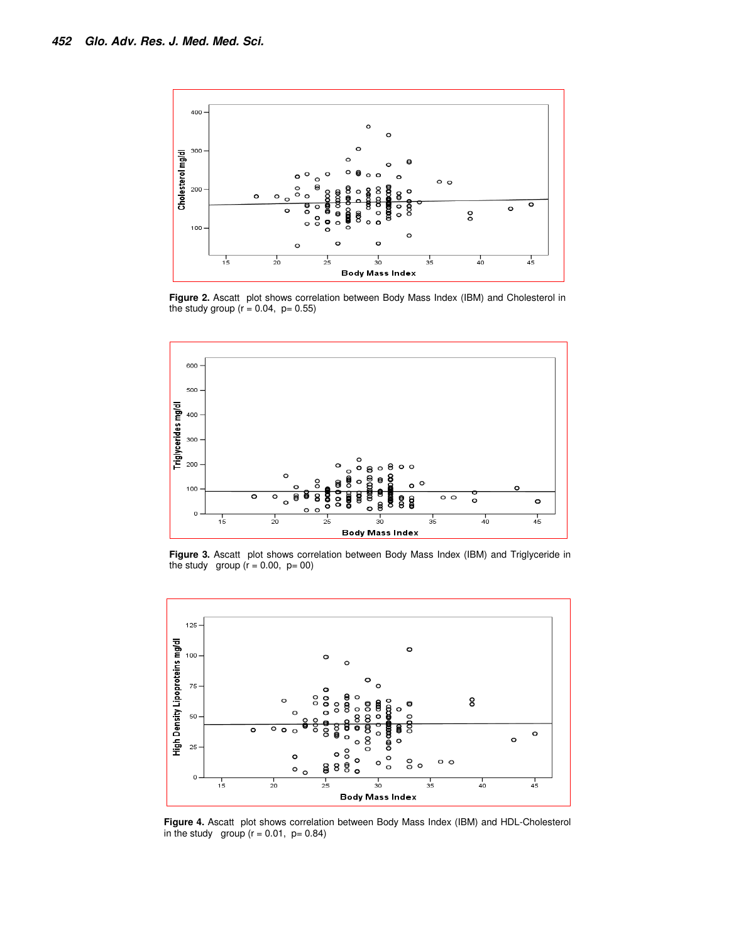

**Figure 2.** Ascatt plot shows correlation between Body Mass Index (IBM) and Cholesterol in the study group ( $r = 0.04$ ,  $p = 0.55$ )



**Figure 3.** Ascatt plot shows correlation between Body Mass Index (IBM) and Triglyceride in the study group  $(r = 0.00, p = 00)$ 



**Figure 4.** Ascatt plot shows correlation between Body Mass Index (IBM) and HDL-Cholesterol in the study group  $(r = 0.01, p = 0.84)$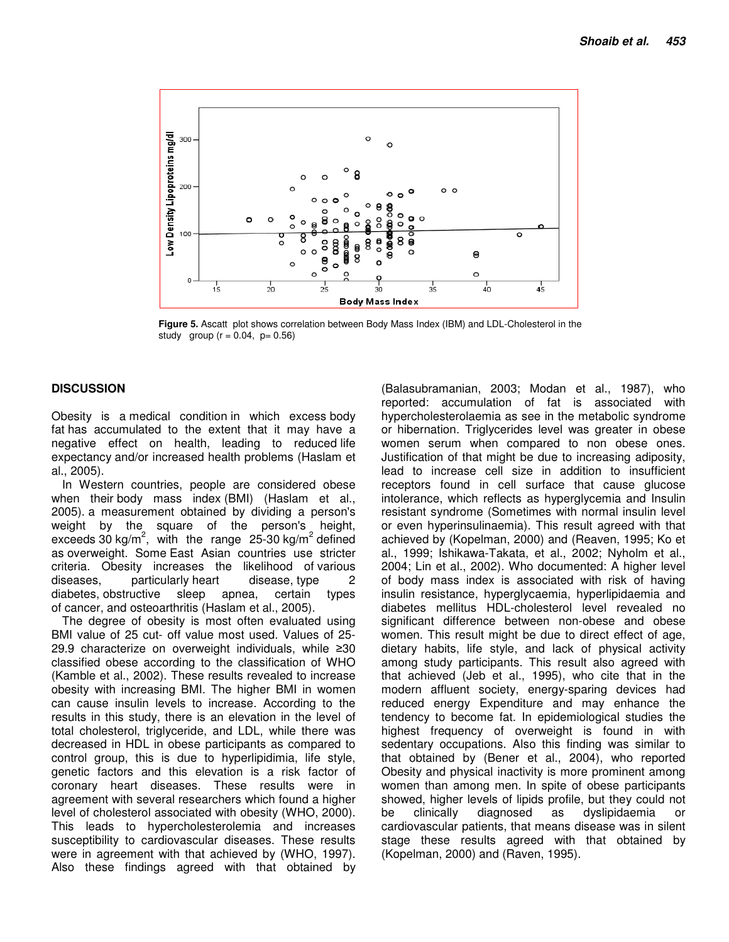

**Figure 5.** Ascatt plot shows correlation between Body Mass Index (IBM) and LDL-Cholesterol in the study group  $(r = 0.04, p = 0.56)$ 

## **DISCUSSION**

Obesity is a medical condition in which excess body fat has accumulated to the extent that it may have a negative effect on health, leading to reduced life expectancy and/or increased health problems (Haslam et al., 2005).

In Western countries, people are considered obese when their body mass index (BMI) (Haslam et al., 2005). a measurement obtained by dividing a person's weight by the square of the person's height, exceeds 30 kg/m<sup>2</sup>, with the range 25-30 kg/m<sup>2</sup> defined as overweight. Some East Asian countries use stricter criteria. Obesity increases the likelihood of various diseases, particularly heart disease, type 2 diabetes, obstructive sleep apnea, certain types of cancer, and osteoarthritis (Haslam et al., 2005).

The degree of obesity is most often evaluated using BMI value of 25 cut- off value most used. Values of 25- 29.9 characterize on overweight individuals, while ≥30 classified obese according to the classification of WHO (Kamble et al., 2002). These results revealed to increase obesity with increasing BMI. The higher BMI in women can cause insulin levels to increase. According to the results in this study, there is an elevation in the level of total cholesterol, triglyceride, and LDL, while there was decreased in HDL in obese participants as compared to control group, this is due to hyperlipidimia, life style, genetic factors and this elevation is a risk factor of coronary heart diseases. These results were in agreement with several researchers which found a higher level of cholesterol associated with obesity (WHO, 2000). This leads to hypercholesterolemia and increases susceptibility to cardiovascular diseases. These results were in agreement with that achieved by (WHO, 1997). Also these findings agreed with that obtained by

(Balasubramanian, 2003; Modan et al., 1987), who reported: accumulation of fat is associated with hypercholesterolaemia as see in the metabolic syndrome or hibernation. Triglycerides level was greater in obese women serum when compared to non obese ones. Justification of that might be due to increasing adiposity, lead to increase cell size in addition to insufficient receptors found in cell surface that cause glucose intolerance, which reflects as hyperglycemia and Insulin resistant syndrome (Sometimes with normal insulin level or even hyperinsulinaemia). This result agreed with that achieved by (Kopelman, 2000) and (Reaven, 1995; Ko et al., 1999; Ishikawa-Takata, et al., 2002; Nyholm et al., 2004; Lin et al., 2002). Who documented: A higher level of body mass index is associated with risk of having insulin resistance, hyperglycaemia, hyperlipidaemia and diabetes mellitus HDL-cholesterol level revealed no significant difference between non-obese and obese women. This result might be due to direct effect of age, dietary habits, life style, and lack of physical activity among study participants. This result also agreed with that achieved (Jeb et al., 1995), who cite that in the modern affluent society, energy-sparing devices had reduced energy Expenditure and may enhance the tendency to become fat. In epidemiological studies the highest frequency of overweight is found in with sedentary occupations. Also this finding was similar to that obtained by (Bener et al., 2004), who reported Obesity and physical inactivity is more prominent among women than among men. In spite of obese participants showed, higher levels of lipids profile, but they could not be clinically diagnosed as dyslipidaemia or cardiovascular patients, that means disease was in silent stage these results agreed with that obtained by (Kopelman, 2000) and (Raven, 1995).